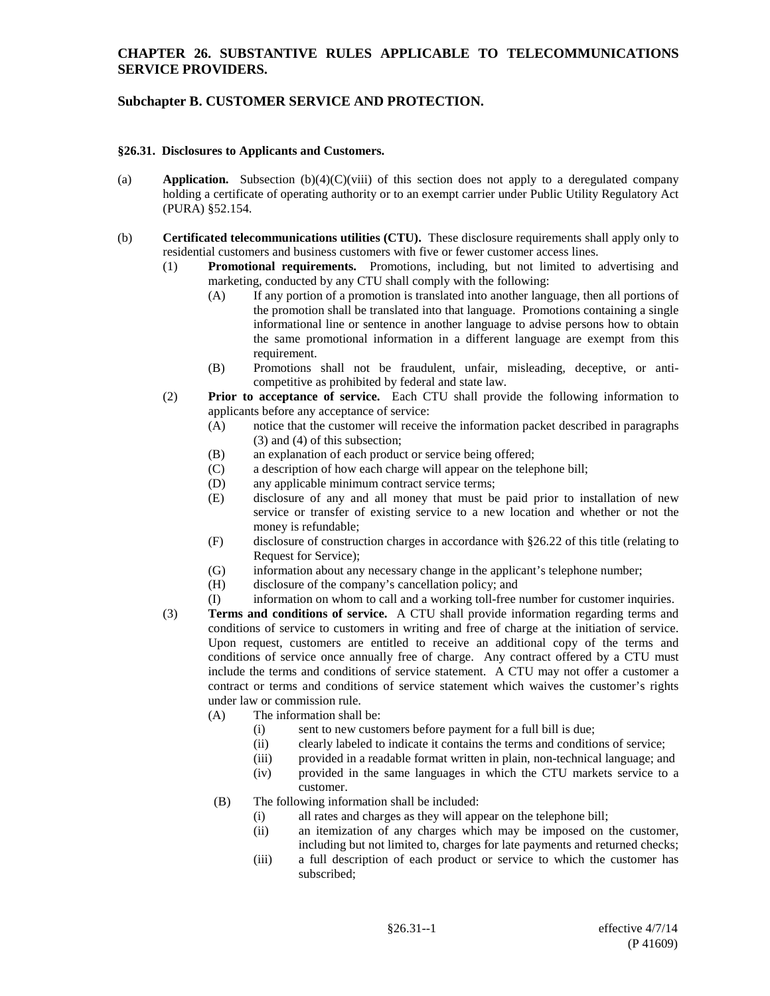### **CHAPTER 26. SUBSTANTIVE RULES APPLICABLE TO TELECOMMUNICATIONS SERVICE PROVIDERS.**

# **Subchapter B. CUSTOMER SERVICE AND PROTECTION.**

#### **§26.31. Disclosures to Applicants and Customers.**

- (a) **Application.** Subsection (b)(4)(C)(viii) of this section does not apply to a deregulated company holding a certificate of operating authority or to an exempt carrier under Public Utility Regulatory Act (PURA) §52.154.
- (b) **Certificated telecommunications utilities (CTU).** These disclosure requirements shall apply only to residential customers and business customers with five or fewer customer access lines.
	- (1) **Promotional requirements.** Promotions, including, but not limited to advertising and marketing, conducted by any CTU shall comply with the following:
		- (A) If any portion of a promotion is translated into another language, then all portions of the promotion shall be translated into that language. Promotions containing a single informational line or sentence in another language to advise persons how to obtain the same promotional information in a different language are exempt from this requirement.
		- (B) Promotions shall not be fraudulent, unfair, misleading, deceptive, or anticompetitive as prohibited by federal and state law.
	- (2) **Prior to acceptance of service.** Each CTU shall provide the following information to applicants before any acceptance of service:
		- (A) notice that the customer will receive the information packet described in paragraphs (3) and (4) of this subsection;
		- (B) an explanation of each product or service being offered;
		- (C) a description of how each charge will appear on the telephone bill;
		- (D) any applicable minimum contract service terms;
		- (E) disclosure of any and all money that must be paid prior to installation of new service or transfer of existing service to a new location and whether or not the money is refundable;
		- (F) disclosure of construction charges in accordance with §26.22 of this title (relating to Request for Service);
		- (G) information about any necessary change in the applicant's telephone number;
		- (H) disclosure of the company's cancellation policy; and
		- (I) information on whom to call and a working toll-free number for customer inquiries.
	- (3) **Terms and conditions of service.** A CTU shall provide information regarding terms and conditions of service to customers in writing and free of charge at the initiation of service. Upon request, customers are entitled to receive an additional copy of the terms and conditions of service once annually free of charge. Any contract offered by a CTU must include the terms and conditions of service statement. A CTU may not offer a customer a contract or terms and conditions of service statement which waives the customer's rights under law or commission rule.
		- (A) The information shall be:
			- (i) sent to new customers before payment for a full bill is due;
			- (ii) clearly labeled to indicate it contains the terms and conditions of service;
			- (iii) provided in a readable format written in plain, non-technical language; and
			- (iv) provided in the same languages in which the CTU markets service to a customer.
		- (B) The following information shall be included:
			- (i) all rates and charges as they will appear on the telephone bill;
			- (ii) an itemization of any charges which may be imposed on the customer, including but not limited to, charges for late payments and returned checks;
			- (iii) a full description of each product or service to which the customer has subscribed;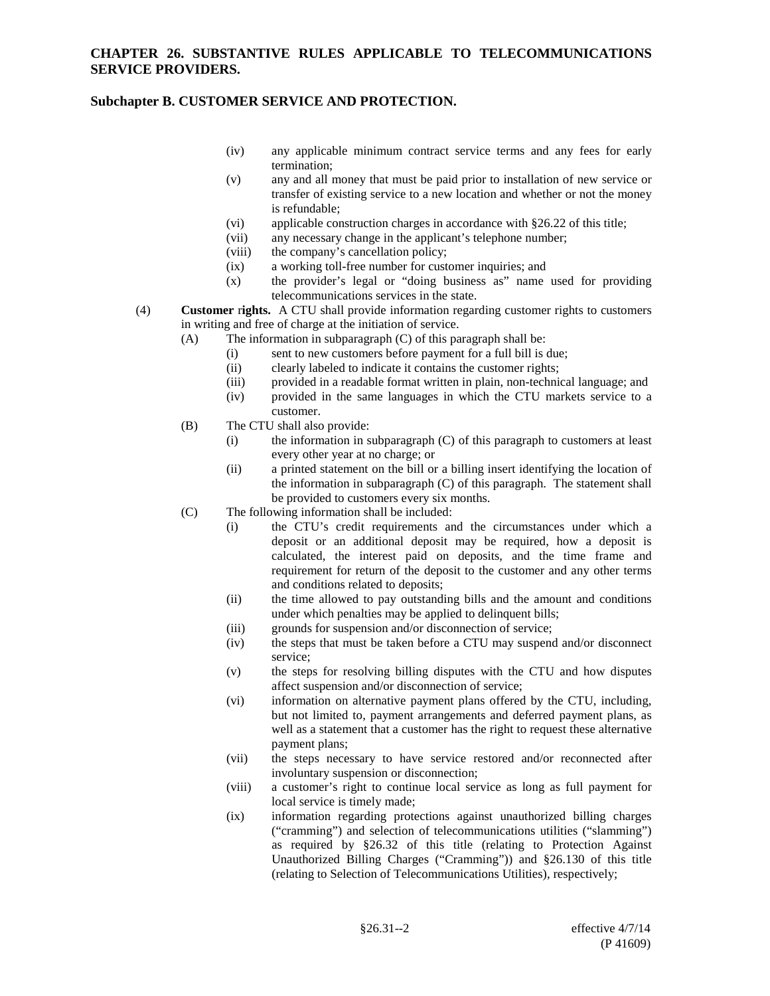## **Subchapter B. CUSTOMER SERVICE AND PROTECTION.**

- (iv) any applicable minimum contract service terms and any fees for early termination;
- (v) any and all money that must be paid prior to installation of new service or transfer of existing service to a new location and whether or not the money is refundable;
- (vi) applicable construction charges in accordance with §26.22 of this title;
- (vii) any necessary change in the applicant's telephone number;
- (viii) the company's cancellation policy;
- (ix) a working toll-free number for customer inquiries; and  $(x)$  the provider's legal or "doing business as" name
- (x) the provider's legal or "doing business as" name used for providing telecommunications services in the state.
- (4) **Customer** r**ights.** A CTU shall provide information regarding customer rights to customers in writing and free of charge at the initiation of service.
	- (A) The information in subparagraph (C) of this paragraph shall be:
		- (i) sent to new customers before payment for a full bill is due;
		- (ii) clearly labeled to indicate it contains the customer rights;
		- (iii) provided in a readable format written in plain, non-technical language; and (iv) provided in the same languages in which the CTU markets service to a
	- customer. (B) The CTU shall also provide:
		- (i) the information in subparagraph (C) of this paragraph to customers at least every other year at no charge; or
		- (ii) a printed statement on the bill or a billing insert identifying the location of the information in subparagraph (C) of this paragraph. The statement shall be provided to customers every six months.
	- (C) The following information shall be included:
		- (i) the CTU's credit requirements and the circumstances under which a deposit or an additional deposit may be required, how a deposit is calculated, the interest paid on deposits, and the time frame and requirement for return of the deposit to the customer and any other terms and conditions related to deposits;
		- (ii) the time allowed to pay outstanding bills and the amount and conditions under which penalties may be applied to delinquent bills;
		- (iii) grounds for suspension and/or disconnection of service;
		- (iv) the steps that must be taken before a CTU may suspend and/or disconnect service;
		- (v) the steps for resolving billing disputes with the CTU and how disputes affect suspension and/or disconnection of service;
		- (vi) information on alternative payment plans offered by the CTU, including, but not limited to, payment arrangements and deferred payment plans, as well as a statement that a customer has the right to request these alternative payment plans;
		- (vii) the steps necessary to have service restored and/or reconnected after involuntary suspension or disconnection;
		- (viii) a customer's right to continue local service as long as full payment for local service is timely made;
		- (ix) information regarding protections against unauthorized billing charges ("cramming") and selection of telecommunications utilities ("slamming") as required by §26.32 of this title (relating to Protection Against Unauthorized Billing Charges ("Cramming")) and §26.130 of this title (relating to Selection of Telecommunications Utilities), respectively;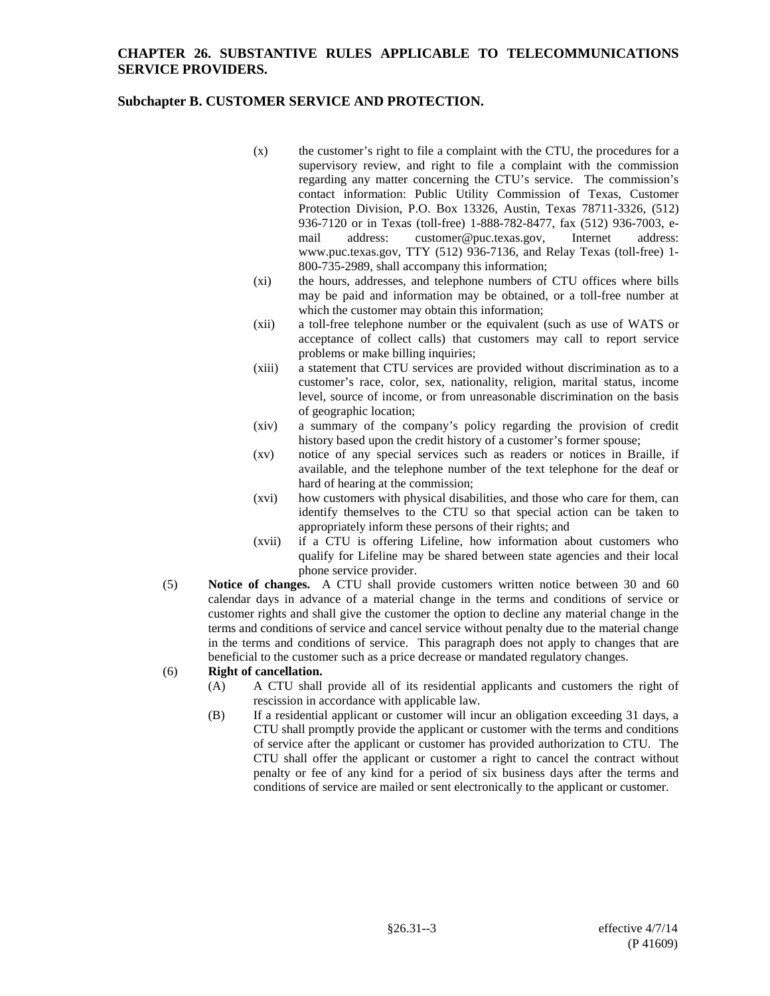### **CHAPTER 26. SUBSTANTIVE RULES APPLICABLE TO TELECOMMUNICATIONS SERVICE PROVIDERS.**

## **Subchapter B. CUSTOMER SERVICE AND PROTECTION.**

- (x) the customer's right to file a complaint with the CTU, the procedures for a supervisory review, and right to file a complaint with the commission regarding any matter concerning the CTU's service. The commission's contact information: Public Utility Commission of Texas, Customer Protection Division, P.O. Box 13326, Austin, Texas 78711-3326, (512) 936-7120 or in Texas (toll-free) 1-888-782-8477, fax (512) 936-7003, email address: customer@puc.texas.gov, Internet address: www.puc.texas.gov, TTY (512) 936-7136, and Relay Texas (toll-free) 1- 800-735-2989, shall accompany this information;
- (xi) the hours, addresses, and telephone numbers of CTU offices where bills may be paid and information may be obtained, or a toll-free number at which the customer may obtain this information;
- (xii) a toll-free telephone number or the equivalent (such as use of WATS or acceptance of collect calls) that customers may call to report service problems or make billing inquiries;
- (xiii) a statement that CTU services are provided without discrimination as to a customer's race, color, sex, nationality, religion, marital status, income level, source of income, or from unreasonable discrimination on the basis of geographic location;
- (xiv) a summary of the company's policy regarding the provision of credit history based upon the credit history of a customer's former spouse;
- (xv) notice of any special services such as readers or notices in Braille, if available, and the telephone number of the text telephone for the deaf or hard of hearing at the commission;
- (xvi) how customers with physical disabilities, and those who care for them, can identify themselves to the CTU so that special action can be taken to appropriately inform these persons of their rights; and
- (xvii) if a CTU is offering Lifeline, how information about customers who qualify for Lifeline may be shared between state agencies and their local phone service provider.
- (5) **Notice of changes.** A CTU shall provide customers written notice between 30 and 60 calendar days in advance of a material change in the terms and conditions of service or customer rights and shall give the customer the option to decline any material change in the terms and conditions of service and cancel service without penalty due to the material change in the terms and conditions of service. This paragraph does not apply to changes that are beneficial to the customer such as a price decrease or mandated regulatory changes.

#### (6) **Right of cancellation.**

- (A) A CTU shall provide all of its residential applicants and customers the right of rescission in accordance with applicable law.
- (B) If a residential applicant or customer will incur an obligation exceeding 31 days, a CTU shall promptly provide the applicant or customer with the terms and conditions of service after the applicant or customer has provided authorization to CTU. The CTU shall offer the applicant or customer a right to cancel the contract without penalty or fee of any kind for a period of six business days after the terms and conditions of service are mailed or sent electronically to the applicant or customer.